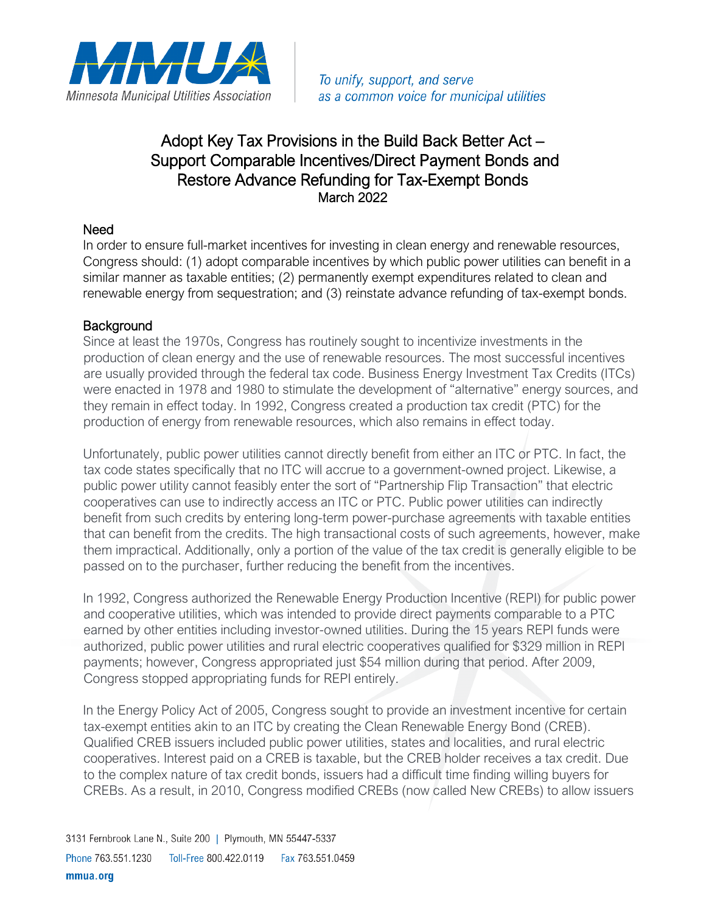

## Adopt Key Tax Provisions in the Build Back Better Act – Support Comparable Incentives/Direct Payment Bonds and Restore Advance Refunding for Tax-Exempt Bonds March 2022

## Need

In order to ensure full-market incentives for investing in clean energy and renewable resources, Congress should: (1) adopt comparable incentives by which public power utilities can benefit in a similar manner as taxable entities; (2) permanently exempt expenditures related to clean and renewable energy from sequestration; and (3) reinstate advance refunding of tax-exempt bonds.

## **Background**

Since at least the 1970s, Congress has routinely sought to incentivize investments in the production of clean energy and the use of renewable resources. The most successful incentives are usually provided through the federal tax code. Business Energy Investment Tax Credits (ITCs) were enacted in 1978 and 1980 to stimulate the development of "alternative" energy sources, and they remain in effect today. In 1992, Congress created a production tax credit (PTC) for the production of energy from renewable resources, which also remains in effect today.

Unfortunately, public power utilities cannot directly benefit from either an ITC or PTC. In fact, the tax code states specifically that no ITC will accrue to a government-owned project. Likewise, a public power utility cannot feasibly enter the sort of "Partnership Flip Transaction" that electric cooperatives can use to indirectly access an ITC or PTC. Public power utilities can indirectly benefit from such credits by entering long-term power-purchase agreements with taxable entities that can benefit from the credits. The high transactional costs of such agreements, however, make them impractical. Additionally, only a portion of the value of the tax credit is generally eligible to be passed on to the purchaser, further reducing the benefit from the incentives.

In 1992, Congress authorized the Renewable Energy Production Incentive (REPI) for public power and cooperative utilities, which was intended to provide direct payments comparable to a PTC earned by other entities including investor-owned utilities. During the 15 years REPI funds were authorized, public power utilities and rural electric cooperatives qualified for \$329 million in REPI payments; however, Congress appropriated just \$54 million during that period. After 2009, Congress stopped appropriating funds for REPI entirely.

In the Energy Policy Act of 2005, Congress sought to provide an investment incentive for certain tax-exempt entities akin to an ITC by creating the Clean Renewable Energy Bond (CREB). Qualified CREB issuers included public power utilities, states and localities, and rural electric cooperatives. Interest paid on a CREB is taxable, but the CREB holder receives a tax credit. Due to the complex nature of tax credit bonds, issuers had a difficult time finding willing buyers for CREBs. As a result, in 2010, Congress modified CREBs (now called New CREBs) to allow issuers